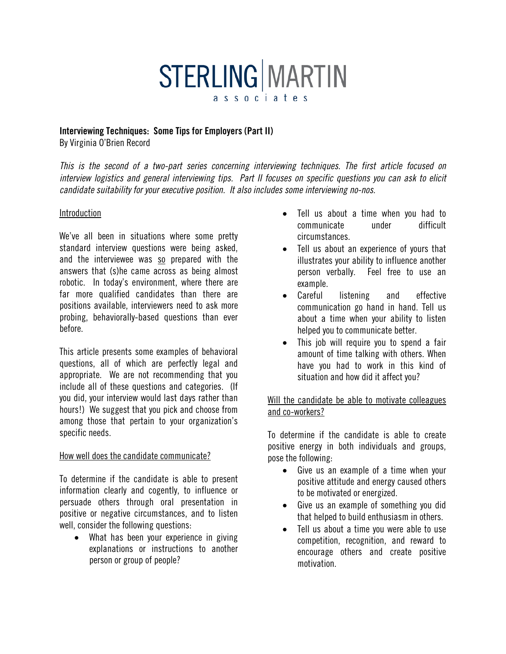# **STERLING MARTIN** associates

#### Interviewing Techniques: Some Tips for Employers (Part II)

By Virginia O'Brien Record

*This is the second of a two-part series concerning interviewing techniques. The first article focused on interview logistics and general interviewing tips. Part II focuses on specific questions you can ask to elicit candidate suitability for your executive position. It also includes some interviewing no-nos.*

#### Introduction

We've all been in situations where some pretty standard interview questions were being asked, and the interviewee was so prepared with the answers that (s)he came across as being almost robotic. In today's environment, where there are far more qualified candidates than there are positions available, interviewers need to ask more probing, behaviorally-based questions than ever before.

This article presents some examples of behavioral questions, all of which are perfectly legal and appropriate. We are not recommending that you include all of these questions and categories. (If you did, your interview would last days rather than hours!) We suggest that you pick and choose from among those that pertain to your organization's specific needs.

#### How well does the candidate communicate?

To determine if the candidate is able to present information clearly and cogently, to influence or persuade others through oral presentation in positive or negative circumstances, and to listen well, consider the following questions:

• What has been your experience in giving explanations or instructions to another person or group of people?

- Tell us about a time when you had to communicate under difficult circumstances.
- Tell us about an experience of yours that illustrates your ability to influence another person verbally. Feel free to use an example.
- Careful listening and effective communication go hand in hand. Tell us about a time when your ability to listen helped you to communicate better.
- This job will require you to spend a fair amount of time talking with others. When have you had to work in this kind of situation and how did it affect you?

#### Will the candidate be able to motivate colleagues and co-workers?

To determine if the candidate is able to create positive energy in both individuals and groups, pose the following:

- Give us an example of a time when your positive attitude and energy caused others to be motivated or energized.
- Give us an example of something you did that helped to build enthusiasm in others.
- Tell us about a time you were able to use competition, recognition, and reward to encourage others and create positive motivation.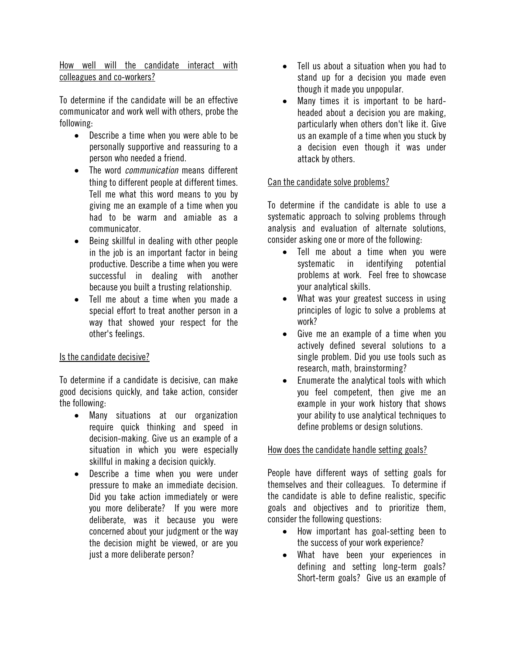How well will the candidate interact with colleagues and co-workers?

To determine if the candidate will be an effective communicator and work well with others, probe the following:

- Describe a time when you were able to be personally supportive and reassuring to a person who needed a friend.
- The word *communication* means different thing to different people at different times. Tell me what this word means to you by giving me an example of a time when you had to be warm and amiable as a communicator.
- Being skillful in dealing with other people in the job is an important factor in being productive. Describe a time when you were successful in dealing with another because you built a trusting relationship.
- Tell me about a time when you made a special effort to treat another person in a way that showed your respect for the other's feelings.

#### Is the candidate decisive?

To determine if a candidate is decisive, can make good decisions quickly, and take action, consider the following:

- Many situations at our organization require quick thinking and speed in decision-making. Give us an example of a situation in which you were especially skillful in making a decision quickly.
- Describe a time when you were under pressure to make an immediate decision. Did you take action immediately or were you more deliberate? If you were more deliberate, was it because you were concerned about your judgment or the way the decision might be viewed, or are you just a more deliberate person?
- Tell us about a situation when you had to stand up for a decision you made even though it made you unpopular.
- Many times it is important to be hardheaded about a decision you are making, particularly when others don't like it. Give us an example of a time when you stuck by a decision even though it was under attack by others.

#### Can the candidate solve problems?

To determine if the candidate is able to use a systematic approach to solving problems through analysis and evaluation of alternate solutions, consider asking one or more of the following:

- Tell me about a time when you were systematic in identifying potential problems at work. Feel free to showcase your analytical skills.
- What was your greatest success in using principles of logic to solve a problems at work?
- Give me an example of a time when you actively defined several solutions to a single problem. Did you use tools such as research, math, brainstorming?
- Enumerate the analytical tools with which you feel competent, then give me an example in your work history that shows your ability to use analytical techniques to define problems or design solutions.

#### How does the candidate handle setting goals?

People have different ways of setting goals for themselves and their colleagues. To determine if the candidate is able to define realistic, specific goals and objectives and to prioritize them, consider the following questions:

- How important has goal-setting been to the success of your work experience?
- What have been your experiences in defining and setting long-term goals? Short-term goals? Give us an example of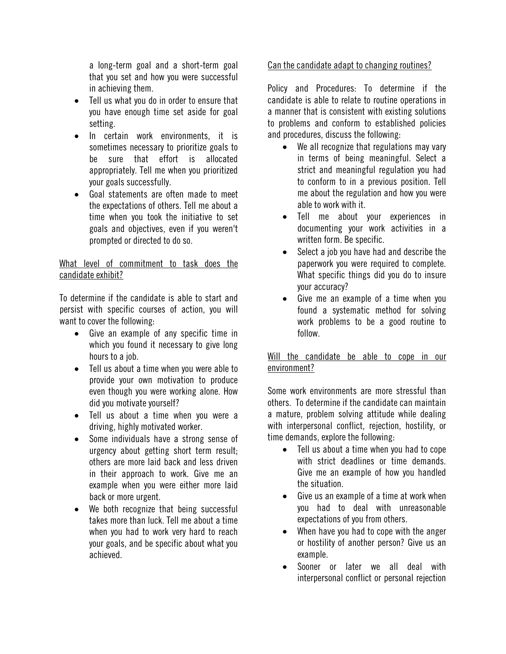a long-term goal and a short-term goal that you set and how you were successful in achieving them.

- Tell us what you do in order to ensure that you have enough time set aside for goal setting.
- In certain work environments, it is sometimes necessary to prioritize goals to be sure that effort is allocated appropriately. Tell me when you prioritized your goals successfully.
- Goal statements are often made to meet the expectations of others. Tell me about a time when you took the initiative to set goals and objectives, even if you weren't prompted or directed to do so.

### What level of commitment to task does the candidate exhibit?

To determine if the candidate is able to start and persist with specific courses of action, you will want to cover the following:

- Give an example of any specific time in which you found it necessary to give long hours to a job.
- Tell us about a time when you were able to provide your own motivation to produce even though you were working alone. How did you motivate yourself?
- Tell us about a time when you were a driving, highly motivated worker.
- Some individuals have a strong sense of urgency about getting short term result; others are more laid back and less driven in their approach to work. Give me an example when you were either more laid back or more urgent.
- We both recognize that being successful takes more than luck. Tell me about a time when you had to work very hard to reach your goals, and be specific about what you achieved.

## Can the candidate adapt to changing routines?

Policy and Procedures: To determine if the candidate is able to relate to routine operations in a manner that is consistent with existing solutions to problems and conform to established policies and procedures, discuss the following:

- We all recognize that regulations may vary in terms of being meaningful. Select a strict and meaningful regulation you had to conform to in a previous position. Tell me about the regulation and how you were able to work with it.
- Tell me about your experiences in documenting your work activities in a written form. Be specific.
- Select a job you have had and describe the paperwork you were required to complete. What specific things did you do to insure your accuracy?
- Give me an example of a time when you found a systematic method for solving work problems to be a good routine to follow.

Will the candidate be able to cope in our environment?

Some work environments are more stressful than others. To determine if the candidate can maintain a mature, problem solving attitude while dealing with interpersonal conflict, rejection, hostility, or time demands, explore the following:

- Tell us about a time when you had to cope with strict deadlines or time demands. Give me an example of how you handled the situation.
- Give us an example of a time at work when you had to deal with unreasonable expectations of you from others.
- When have you had to cope with the anger or hostility of another person? Give us an example.
- Sooner or later we all deal with interpersonal conflict or personal rejection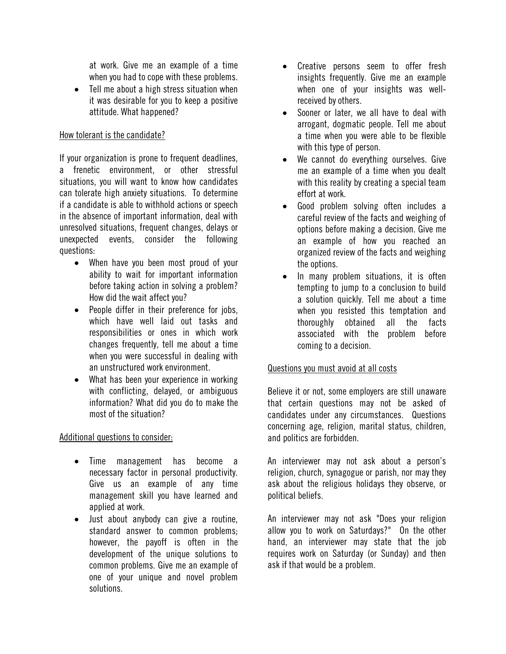at work. Give me an example of a time when you had to cope with these problems.

• Tell me about a high stress situation when it was desirable for you to keep a positive attitude. What happened?

## How tolerant is the candidate?

If your organization is prone to frequent deadlines, a frenetic environment, or other stressful situations, you will want to know how candidates can tolerate high anxiety situations. To determine if a candidate is able to withhold actions or speech in the absence of important information, deal with unresolved situations, frequent changes, delays or unexpected events, consider the following questions:

- When have you been most proud of your ability to wait for important information before taking action in solving a problem? How did the wait affect you?
- People differ in their preference for jobs, which have well laid out tasks and responsibilities or ones in which work changes frequently, tell me about a time when you were successful in dealing with an unstructured work environment.
- What has been your experience in working with conflicting, delayed, or ambiguous information? What did you do to make the most of the situation?

Additional questions to consider:

- Time management has become a necessary factor in personal productivity. Give us an example of any time management skill you have learned and applied at work.
- Just about anybody can give a routine, standard answer to common problems; however, the payoff is often in the development of the unique solutions to common problems. Give me an example of one of your unique and novel problem solutions.
- Creative persons seem to offer fresh insights frequently. Give me an example when one of your insights was wellreceived by others.
- Sooner or later, we all have to deal with arrogant, dogmatic people. Tell me about a time when you were able to be flexible with this type of person.
- We cannot do everything ourselves. Give me an example of a time when you dealt with this reality by creating a special team effort at work.
- Good problem solving often includes a careful review of the facts and weighing of options before making a decision. Give me an example of how you reached an organized review of the facts and weighing the options.
- In many problem situations, it is often tempting to jump to a conclusion to build a solution quickly. Tell me about a time when you resisted this temptation and thoroughly obtained all the facts associated with the problem before coming to a decision.

## Questions you must avoid at all costs

Believe it or not, some employers are still unaware that certain questions may not be asked of candidates under any circumstances. Questions concerning age, religion, marital status, children, and politics are forbidden.

An interviewer may not ask about a person's religion, church, synagogue or parish, nor may they ask about the religious holidays they observe, or political beliefs.

An interviewer may not ask "Does your religion allow you to work on Saturdays?" On the other hand, an interviewer may state that the job requires work on Saturday (or Sunday) and then ask if that would be a problem.